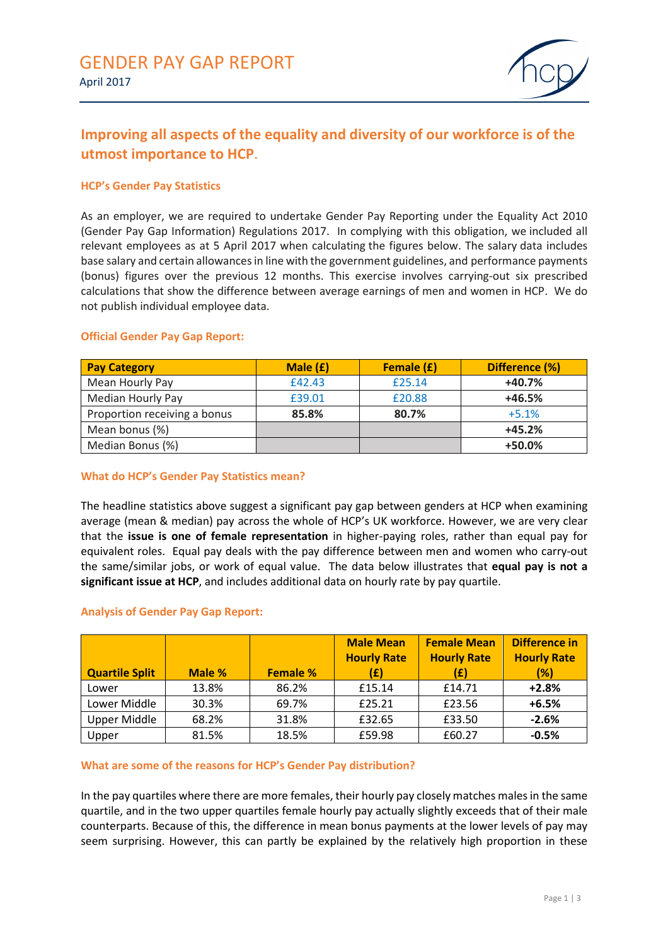

# **Improving all aspects of the equality and diversity of our workforce is of the utmost importance to HCP**.

# **HCP's Gender Pay Statistics**

As an employer, we are required to undertake Gender Pay Reporting under the Equality Act 2010 (Gender Pay Gap Information) Regulations 2017. In complying with this obligation, we included all relevant employees as at 5 April 2017 when calculating the figures below. The salary data includes base salary and certain allowances in line with the government guidelines, and performance payments (bonus) figures over the previous 12 months. This exercise involves carrying-out six prescribed calculations that show the difference between average earnings of men and women in HCP. We do not publish individual employee data.

| <b>Pay Category</b>          | Male $(f)$ | <b>Female (£)</b> | Difference (%) |
|------------------------------|------------|-------------------|----------------|
| Mean Hourly Pay              | £42.43     | £25.14            | $+40.7%$       |
| <b>Median Hourly Pay</b>     | £39.01     | £20.88            | $+46.5%$       |
| Proportion receiving a bonus | 85.8%      | 80.7%             | $+5.1%$        |
| Mean bonus (%)               |            |                   | $+45.2%$       |
| Median Bonus (%)             |            |                   | $+50.0%$       |

## **Official Gender Pay Gap Report:**

## **What do HCP's Gender Pay Statistics mean?**

The headline statistics above suggest a significant pay gap between genders at HCP when examining average (mean & median) pay across the whole of HCP's UK workforce. However, we are very clear that the **issue is one of female representation** in higher-paying roles, rather than equal pay for equivalent roles. Equal pay deals with the pay difference between men and women who carry-out the same/similar jobs, or work of equal value. The data below illustrates that **equal pay is not a significant issue at HCP**, and includes additional data on hourly rate by pay quartile.

## **Analysis of Gender Pay Gap Report:**

| <b>Quartile Split</b> | Male % | <b>Female %</b> | <b>Male Mean</b><br><b>Hourly Rate</b><br>(£) | <b>Female Mean</b><br><b>Hourly Rate</b><br>(£) | Difference in<br><b>Hourly Rate</b><br>(%) |
|-----------------------|--------|-----------------|-----------------------------------------------|-------------------------------------------------|--------------------------------------------|
| Lower                 | 13.8%  | 86.2%           | £15.14                                        | £14.71                                          | $+2.8%$                                    |
| Lower Middle          | 30.3%  | 69.7%           | £25.21                                        | £23.56                                          | $+6.5%$                                    |
| Upper Middle          | 68.2%  | 31.8%           | £32.65                                        | £33.50                                          | $-2.6%$                                    |
| Upper                 | 81.5%  | 18.5%           | £59.98                                        | £60.27                                          | $-0.5%$                                    |

## **What are some of the reasons for HCP's Gender Pay distribution?**

In the pay quartiles where there are more females, their hourly pay closely matches males in the same quartile, and in the two upper quartiles female hourly pay actually slightly exceeds that of their male counterparts. Because of this, the difference in mean bonus payments at the lower levels of pay may seem surprising. However, this can partly be explained by the relatively high proportion in these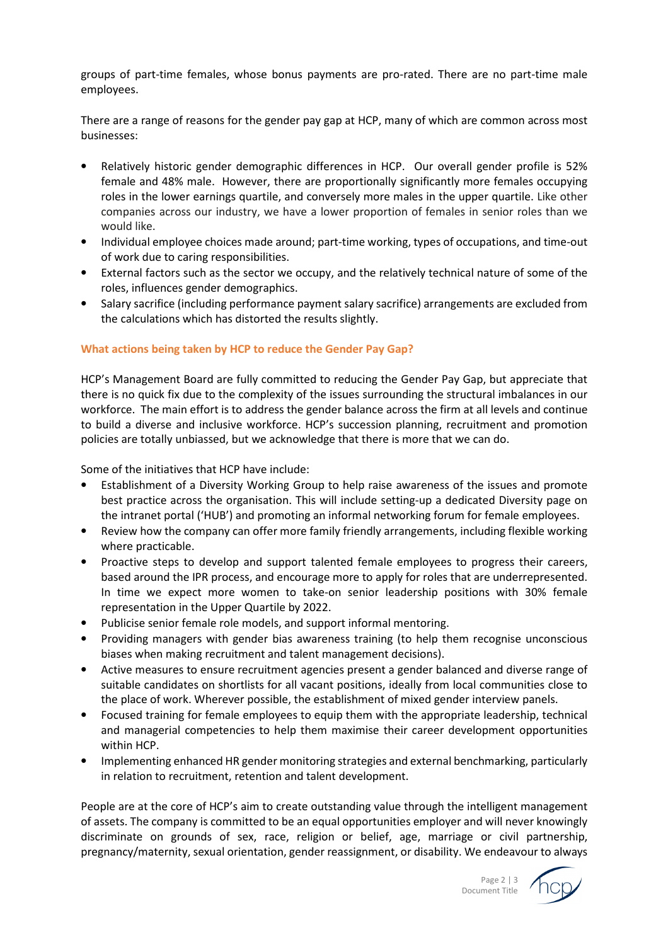groups of part-time females, whose bonus payments are pro-rated. There are no part-time male employees.

There are a range of reasons for the gender pay gap at HCP, many of which are common across most businesses:

- Relatively historic gender demographic differences in HCP. Our overall gender profile is 52% female and 48% male. However, there are proportionally significantly more females occupying roles in the lower earnings quartile, and conversely more males in the upper quartile. Like other companies across our industry, we have a lower proportion of females in senior roles than we would like.
- Individual employee choices made around; part-time working, types of occupations, and time-out of work due to caring responsibilities.
- External factors such as the sector we occupy, and the relatively technical nature of some of the roles, influences gender demographics.
- Salary sacrifice (including performance payment salary sacrifice) arrangements are excluded from the calculations which has distorted the results slightly.

# **What actions being taken by HCP to reduce the Gender Pay Gap?**

HCP's Management Board are fully committed to reducing the Gender Pay Gap, but appreciate that there is no quick fix due to the complexity of the issues surrounding the structural imbalances in our workforce. The main effort is to address the gender balance across the firm at all levels and continue to build a diverse and inclusive workforce. HCP's succession planning, recruitment and promotion policies are totally unbiassed, but we acknowledge that there is more that we can do.

Some of the initiatives that HCP have include:

- Establishment of a Diversity Working Group to help raise awareness of the issues and promote best practice across the organisation. This will include setting-up a dedicated Diversity page on the intranet portal ('HUB') and promoting an informal networking forum for female employees.
- Review how the company can offer more family friendly arrangements, including flexible working where practicable.
- Proactive steps to develop and support talented female employees to progress their careers, based around the IPR process, and encourage more to apply for roles that are underrepresented. In time we expect more women to take-on senior leadership positions with 30% female representation in the Upper Quartile by 2022.
- Publicise senior female role models, and support informal mentoring.
- Providing managers with gender bias awareness training (to help them recognise unconscious biases when making recruitment and talent management decisions).
- Active measures to ensure recruitment agencies present a gender balanced and diverse range of suitable candidates on shortlists for all vacant positions, ideally from local communities close to the place of work. Wherever possible, the establishment of mixed gender interview panels.
- Focused training for female employees to equip them with the appropriate leadership, technical and managerial competencies to help them maximise their career development opportunities within HCP.
- Implementing enhanced HR gender monitoring strategies and external benchmarking, particularly in relation to recruitment, retention and talent development.

People are at the core of HCP's aim to create outstanding value through the intelligent management of assets. The company is committed to be an equal opportunities employer and will never knowingly discriminate on grounds of sex, race, religion or belief, age, marriage or civil partnership, pregnancy/maternity, sexual orientation, gender reassignment, or disability. We endeavour to always